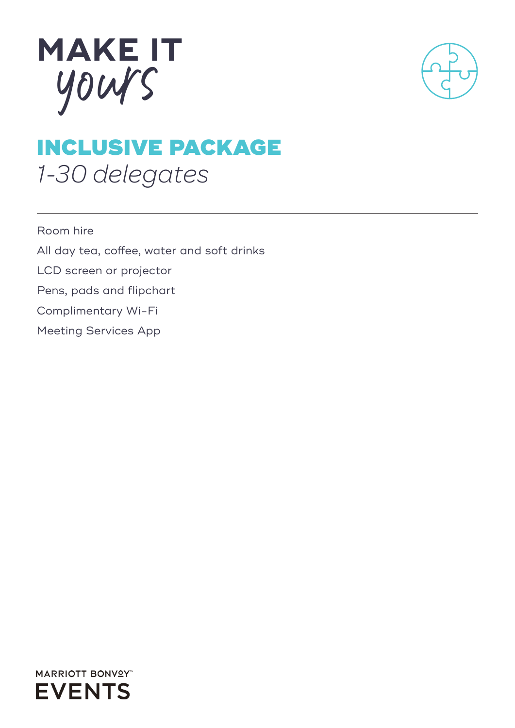



## INCLUSIVE PACKAGE *1-30 delegates*

Room hire All day tea, coffee, water and soft drinks LCD screen or projector Pens, pads and flipchart Complimentary Wi-Fi Meeting Services App

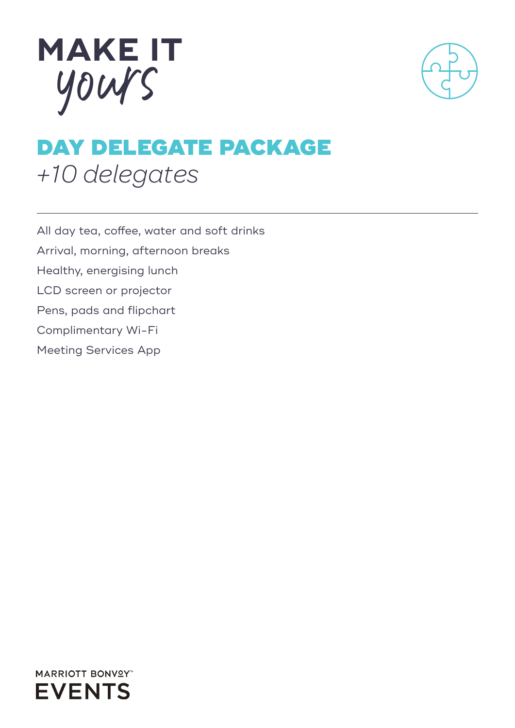



## DAY DELEGATE PACKAGE *+10 delegates*

All day tea, coffee, water and soft drinks Arrival, morning, afternoon breaks Healthy, energising lunch LCD screen or projector Pens, pads and flipchart Complimentary Wi-Fi Meeting Services App

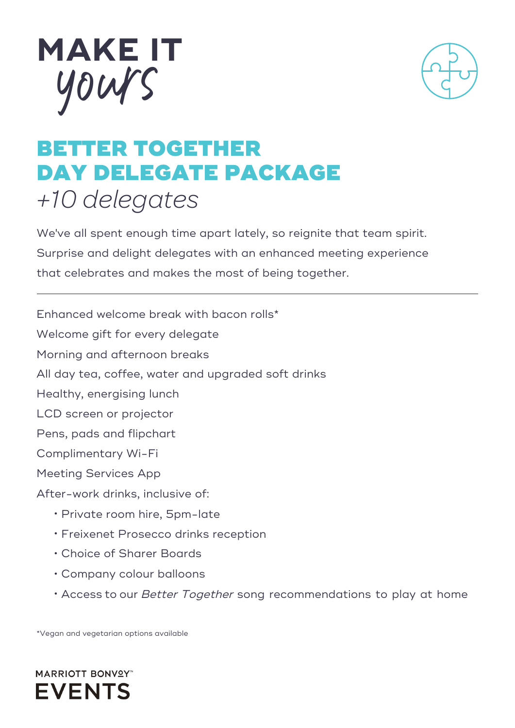



## BETTER TOGETHER DAY DELEGATE PACKAGE *+10 delegates*

We've all spent enough time apart lately, so reignite that team spirit. Surprise and delight delegates with an enhanced meeting experience that celebrates and makes the most of being together.

Enhanced welcome break with bacon rolls\* Welcome gift for every delegate Morning and afternoon breaks All day tea, coffee, water and upgraded soft drinks Healthy, energising lunch LCD screen or projector Pens, pads and flipchart Complimentary Wi-Fi Meeting Services App After-work drinks, inclusive of: • Private room hire, 5pm-late • Freixenet Prosecco drinks reception

- Choice of Sharer Boards
- Company colour balloons
- Access to our Better Together song recommendations to play at home

\*Vegan and vegetarian options available